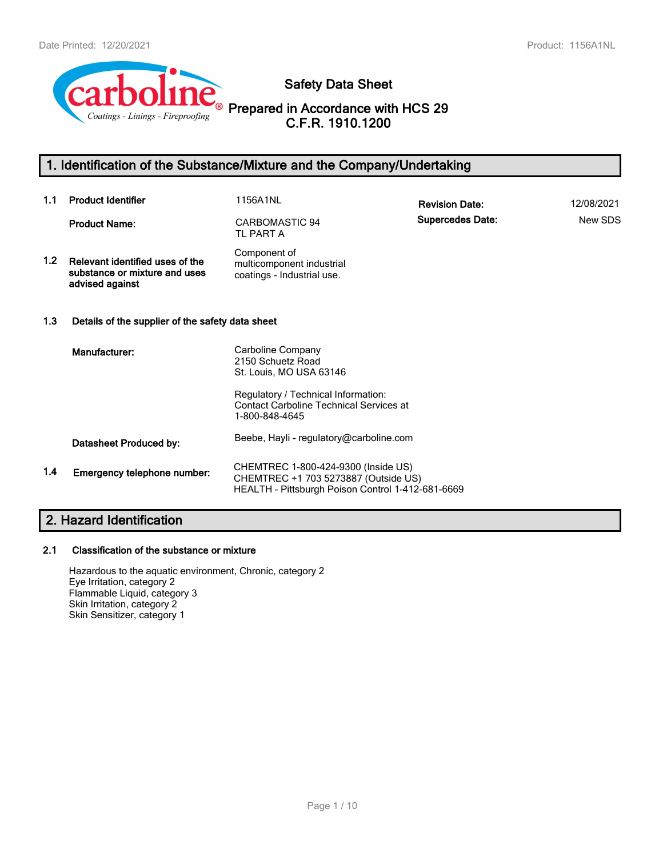

**Safety Data Sheet**

**Prepared in Accordance with HCS 29 C.F.R. 1910.1200**

# **1. Identification of the Substance/Mixture and the Company/Undertaking**

| 1.1              | <b>Product Identifier</b>                                                           | 1156A1NL                                                                                                                         | <b>Revision Date:</b>   | 12/08/2021 |
|------------------|-------------------------------------------------------------------------------------|----------------------------------------------------------------------------------------------------------------------------------|-------------------------|------------|
|                  | <b>Product Name:</b>                                                                | CARBOMASTIC 94<br>TL PART A                                                                                                      | <b>Supercedes Date:</b> | New SDS    |
| 1.2 <sub>1</sub> | Relevant identified uses of the<br>substance or mixture and uses<br>advised against | Component of<br>multicomponent industrial<br>coatings - Industrial use.                                                          |                         |            |
| 1.3              | Details of the supplier of the safety data sheet                                    |                                                                                                                                  |                         |            |
|                  | Manufacturer:                                                                       | Carboline Company<br>2150 Schuetz Road<br>St. Louis, MO USA 63146                                                                |                         |            |
|                  |                                                                                     | Regulatory / Technical Information:<br><b>Contact Carboline Technical Services at</b><br>1-800-848-4645                          |                         |            |
|                  | Datasheet Produced by:                                                              | Beebe, Hayli - regulatory@carboline.com                                                                                          |                         |            |
| 1.4              | Emergency telephone number:                                                         | CHEMTREC 1-800-424-9300 (Inside US)<br>CHEMTREC +1 703 5273887 (Outside US)<br>HEALTH - Pittsburgh Poison Control 1-412-681-6669 |                         |            |

# **2. Hazard Identification**

### **2.1 Classification of the substance or mixture**

Hazardous to the aquatic environment, Chronic, category 2 Eye Irritation, category 2 Flammable Liquid, category 3 Skin Irritation, category 2 Skin Sensitizer, category 1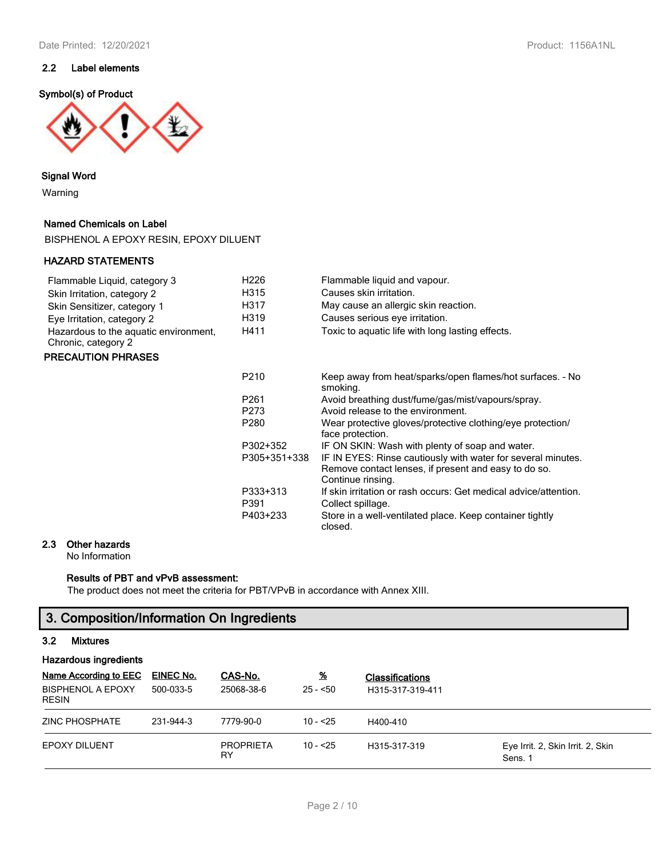### **2.2 Label elements**

#### **Symbol(s) of Product**



#### **Signal Word**

Warning

#### **Named Chemicals on Label**

BISPHENOL A EPOXY RESIN, EPOXY DILUENT

#### **HAZARD STATEMENTS**

#### Flammable Liquid, category 3 H226 Flammable liquid and vapour. Skin Irritation, category 2 **H315** Causes skin irritation. Skin Sensitizer, category 1 
H317 May cause an allergic skin reaction.<br>
Fye Irritation category 2 
H319 Causes serious eve irritation. Eye Irritation, category 2 H319 Causes serious eye irritation. Hazardous to the aquatic environment, H411 Toxic to aquatic life with long lasting effects. Chronic, category 2

#### **PRECAUTION PHRASES**

| P <sub>210</sub> | Keep away from heat/sparks/open flames/hot surfaces. - No                                                                                 |
|------------------|-------------------------------------------------------------------------------------------------------------------------------------------|
|                  | smoking.                                                                                                                                  |
| P <sub>261</sub> | Avoid breathing dust/fume/gas/mist/vapours/spray.                                                                                         |
| P273             | Avoid release to the environment.                                                                                                         |
| P <sub>280</sub> | Wear protective gloves/protective clothing/eye protection/<br>face protection.                                                            |
| P302+352         | IF ON SKIN: Wash with plenty of soap and water.                                                                                           |
| P305+351+338     | IF IN EYES: Rinse cautiously with water for several minutes.<br>Remove contact lenses, if present and easy to do so.<br>Continue rinsing. |
| P333+313         | If skin irritation or rash occurs: Get medical advice/attention.                                                                          |
| P391             | Collect spillage.                                                                                                                         |
| P403+233         | Store in a well-ventilated place. Keep container tightly<br>closed.                                                                       |

#### **2.3 Other hazards**

No Information

### **Results of PBT and vPvB assessment:**

The product does not meet the criteria for PBT/VPvB in accordance with Annex XIII.

### **3. Composition/Information On Ingredients**

#### **3.2 Mixtures**

| Hazardous ingredients                                             |                        |                        |                            |                                            |                                              |  |
|-------------------------------------------------------------------|------------------------|------------------------|----------------------------|--------------------------------------------|----------------------------------------------|--|
| Name According to EEC<br><b>BISPHENOL A EPOXY</b><br><b>RESIN</b> | EINEC No.<br>500-033-5 | CAS-No.<br>25068-38-6  | $\frac{9}{6}$<br>$25 - 50$ | <b>Classifications</b><br>H315-317-319-411 |                                              |  |
| ZINC PHOSPHATE                                                    | 231-944-3              | 7779-90-0              | $10 - 25$                  | H400-410                                   |                                              |  |
| <b>EPOXY DILUENT</b>                                              |                        | <b>PROPRIETA</b><br>RY | $10 - 25$                  | H315-317-319                               | Eye Irrit. 2, Skin Irrit. 2, Skin<br>Sens. 1 |  |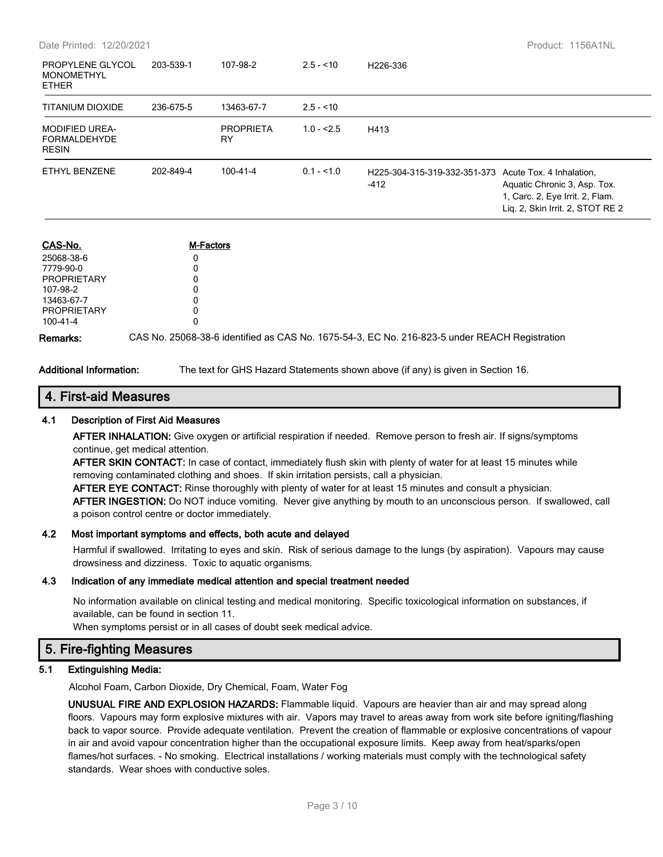| PROPYLENE GLYCOL<br><b>MONOMETHYL</b><br><b>ETHER</b>        | 203-539-1 | 107-98-2               | $2.5 - 10$  | H226-336                                                        |                                                                                                     |
|--------------------------------------------------------------|-----------|------------------------|-------------|-----------------------------------------------------------------|-----------------------------------------------------------------------------------------------------|
| <b>TITANIUM DIOXIDE</b>                                      | 236-675-5 | 13463-67-7             | $2.5 - 10$  |                                                                 |                                                                                                     |
| <b>MODIFIED UREA-</b><br><b>FORMALDEHYDE</b><br><b>RESIN</b> |           | <b>PROPRIETA</b><br>RY | $1.0 - 2.5$ | H413                                                            |                                                                                                     |
| <b>ETHYL BENZENE</b>                                         | 202-849-4 | $100 - 41 - 4$         | $0.1 - 1.0$ | H225-304-315-319-332-351-373 Acute Tox. 4 Inhalation,<br>$-412$ | Aquatic Chronic 3, Asp. Tox.<br>1, Carc. 2, Eye Irrit. 2, Flam.<br>Lig. 2, Skin Irrit. 2, STOT RE 2 |
| CAS-No.                                                      |           | <b>M-Factors</b>       |             |                                                                 |                                                                                                     |

| <b>UAS-NO.</b>     | M-Lacrors |                                                                                               |
|--------------------|-----------|-----------------------------------------------------------------------------------------------|
| 25068-38-6         |           |                                                                                               |
| 7779-90-0          |           |                                                                                               |
| PROPRIETARY        |           |                                                                                               |
| 107-98-2           |           |                                                                                               |
| 13463-67-7         |           |                                                                                               |
| <b>PROPRIETARY</b> |           |                                                                                               |
| 100-41-4           |           |                                                                                               |
| Remarks:           |           | CAS No. 25068-38-6 identified as CAS No. 1675-54-3, EC No. 216-823-5 under REACH Registration |

**Additional Information:** The text for GHS Hazard Statements shown above (if any) is given in Section 16.

### **4. First-aid Measures**

#### **4.1 Description of First Aid Measures**

**AFTER INHALATION:** Give oxygen or artificial respiration if needed. Remove person to fresh air. If signs/symptoms continue, get medical attention.

**AFTER SKIN CONTACT:** In case of contact, immediately flush skin with plenty of water for at least 15 minutes while removing contaminated clothing and shoes. If skin irritation persists, call a physician.

**AFTER EYE CONTACT:** Rinse thoroughly with plenty of water for at least 15 minutes and consult a physician. **AFTER INGESTION:** Do NOT induce vomiting. Never give anything by mouth to an unconscious person. If swallowed, call a poison control centre or doctor immediately.

#### **4.2 Most important symptoms and effects, both acute and delayed**

Harmful if swallowed. Irritating to eyes and skin. Risk of serious damage to the lungs (by aspiration). Vapours may cause drowsiness and dizziness. Toxic to aquatic organisms.

#### **4.3 Indication of any immediate medical attention and special treatment needed**

No information available on clinical testing and medical monitoring. Specific toxicological information on substances, if available, can be found in section 11.

When symptoms persist or in all cases of doubt seek medical advice.

### **5. Fire-fighting Measures**

#### **5.1 Extinguishing Media:**

Alcohol Foam, Carbon Dioxide, Dry Chemical, Foam, Water Fog

**UNUSUAL FIRE AND EXPLOSION HAZARDS:** Flammable liquid. Vapours are heavier than air and may spread along floors. Vapours may form explosive mixtures with air. Vapors may travel to areas away from work site before igniting/flashing back to vapor source. Provide adequate ventilation. Prevent the creation of flammable or explosive concentrations of vapour in air and avoid vapour concentration higher than the occupational exposure limits. Keep away from heat/sparks/open flames/hot surfaces. - No smoking. Electrical installations / working materials must comply with the technological safety standards. Wear shoes with conductive soles.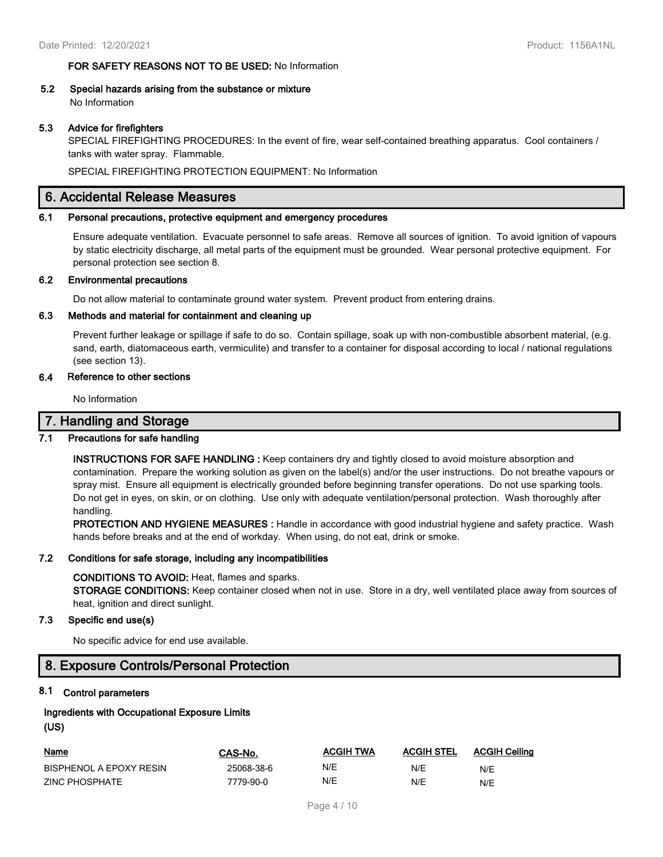#### **FOR SAFETY REASONS NOT TO BE USED:** No Information

**5.2 Special hazards arising from the substance or mixture** No Information

#### **5.3 Advice for firefighters**

SPECIAL FIREFIGHTING PROCEDURES: In the event of fire, wear self-contained breathing apparatus. Cool containers / tanks with water spray. Flammable.

SPECIAL FIREFIGHTING PROTECTION EQUIPMENT: No Information

### **6. Accidental Release Measures**

#### **6.1 Personal precautions, protective equipment and emergency procedures**

Ensure adequate ventilation. Evacuate personnel to safe areas. Remove all sources of ignition. To avoid ignition of vapours by static electricity discharge, all metal parts of the equipment must be grounded. Wear personal protective equipment. For personal protection see section 8.

#### **6.2 Environmental precautions**

Do not allow material to contaminate ground water system. Prevent product from entering drains.

#### **6.3 Methods and material for containment and cleaning up**

Prevent further leakage or spillage if safe to do so. Contain spillage, soak up with non-combustible absorbent material, (e.g. sand, earth, diatomaceous earth, vermiculite) and transfer to a container for disposal according to local / national regulations (see section 13).

#### **6.4 Reference to other sections**

No Information

### **7. Handling and Storage**

#### **7.1 Precautions for safe handling**

**INSTRUCTIONS FOR SAFE HANDLING :** Keep containers dry and tightly closed to avoid moisture absorption and contamination. Prepare the working solution as given on the label(s) and/or the user instructions. Do not breathe vapours or spray mist. Ensure all equipment is electrically grounded before beginning transfer operations. Do not use sparking tools. Do not get in eyes, on skin, or on clothing. Use only with adequate ventilation/personal protection. Wash thoroughly after handling.

**PROTECTION AND HYGIENE MEASURES :** Handle in accordance with good industrial hygiene and safety practice. Wash hands before breaks and at the end of workday. When using, do not eat, drink or smoke.

#### **7.2 Conditions for safe storage, including any incompatibilities**

#### **CONDITIONS TO AVOID:** Heat, flames and sparks.

**STORAGE CONDITIONS:** Keep container closed when not in use. Store in a dry, well ventilated place away from sources of heat, ignition and direct sunlight.

#### **7.3 Specific end use(s)**

No specific advice for end use available.

### **8. Exposure Controls/Personal Protection**

#### **8.1 Control parameters**

### **Ingredients with Occupational Exposure Limits (US)**

| <u>Name</u>             | CAS-No.    | <b>ACGIH TWA</b> | <b>ACGIH STEL</b> | <b>ACGIH Ceiling</b> |
|-------------------------|------------|------------------|-------------------|----------------------|
| BISPHENOL A EPOXY RESIN | 25068-38-6 | N/E              | N/E               | N/E                  |
| ZINC PHOSPHATE          | 7779-90-0  | N/E              | N/E               | N/E                  |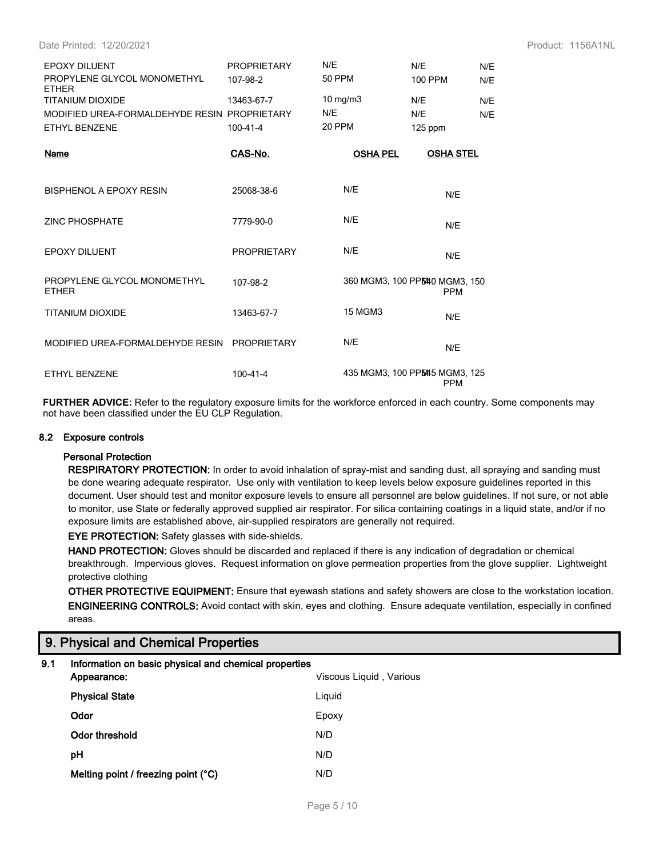Date Printed: 12/20/2021 Product: 1156A1NL

| <b>EPOXY DILUENT</b><br>PROPYLENE GLYCOL MONOMETHYL<br><b>ETHER</b> | <b>PROPRIETARY</b><br>107-98-2 | N/E<br>50 PPM      | N/E<br>N/E<br>100 PPM<br>N/F |  |
|---------------------------------------------------------------------|--------------------------------|--------------------|------------------------------|--|
| TITANIUM DIOXIDE                                                    | 13463-67-7                     | 10 mg/m $3$<br>N/E | N/E<br>N/F                   |  |
| MODIFIED UREA-FORMALDEHYDE RESIN PROPRIETARY                        |                                | 20 PPM             | N/E<br>N/F                   |  |
| ETHYL BENZENE                                                       | $100 - 41 - 4$                 |                    | $125$ ppm                    |  |
| Name                                                                |                                |                    |                              |  |
|                                                                     | CAS-No.                        | <b>OSHA PEL</b>    | <b>OSHA STEL</b>             |  |
| BISPHENOL A EPOXY RESIN                                             | 25068-38-6                     | N/E                | N/E                          |  |

| <b>EPOXY DILUENT</b>                         | <b>PROPRIETARY</b> | N/E                            | N/E        |
|----------------------------------------------|--------------------|--------------------------------|------------|
| PROPYLENE GLYCOL MONOMETHYL<br><b>ETHER</b>  | 107-98-2           | 360 MGM3, 100 PP5440 MGM3, 150 | <b>PPM</b> |
| TITANIUM DIOXIDE                             | 13463-67-7         | 15 MGM3                        | N/E        |
| MODIFIED UREA-FORMALDEHYDE RESIN PROPRIETARY |                    | N/E                            | N/E        |
| ETHYL BENZENE                                | 100-41-4           | 435 MGM3, 100 PPM45 MGM3, 125  | <b>PPM</b> |

**FURTHER ADVICE:** Refer to the regulatory exposure limits for the workforce enforced in each country. Some components may not have been classified under the EU CLP Regulation.

#### **8.2 Exposure controls**

#### **Personal Protection**

**RESPIRATORY PROTECTION:** In order to avoid inhalation of spray-mist and sanding dust, all spraying and sanding must be done wearing adequate respirator. Use only with ventilation to keep levels below exposure guidelines reported in this document. User should test and monitor exposure levels to ensure all personnel are below guidelines. If not sure, or not able to monitor, use State or federally approved supplied air respirator. For silica containing coatings in a liquid state, and/or if no exposure limits are established above, air-supplied respirators are generally not required.

**EYE PROTECTION:** Safety glasses with side-shields.

**HAND PROTECTION:** Gloves should be discarded and replaced if there is any indication of degradation or chemical breakthrough. Impervious gloves. Request information on glove permeation properties from the glove supplier. Lightweight protective clothing

**OTHER PROTECTIVE EQUIPMENT:** Ensure that eyewash stations and safety showers are close to the workstation location. **ENGINEERING CONTROLS:** Avoid contact with skin, eyes and clothing. Ensure adequate ventilation, especially in confined areas.

### **9. Physical and Chemical Properties**

| 9.1 | Information on basic physical and chemical properties |                         |
|-----|-------------------------------------------------------|-------------------------|
|     | Appearance:                                           | Viscous Liquid, Various |
|     | <b>Physical State</b>                                 | Liquid                  |
|     | Odor                                                  | Epoxy                   |
|     | Odor threshold                                        | N/D                     |
|     | рH                                                    | N/D                     |
|     | Melting point / freezing point (°C)                   | N/D                     |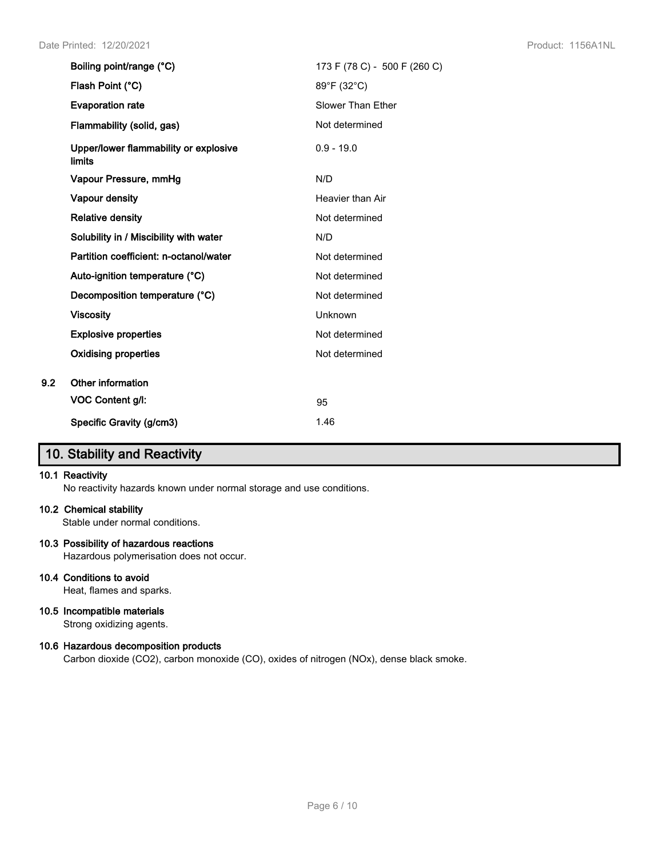| Boiling point/range (°C)                               | 173 F (78 C) - 500 F (260 C) |
|--------------------------------------------------------|------------------------------|
| Flash Point (°C)                                       | 89°F (32°C)                  |
| <b>Evaporation rate</b>                                | Slower Than Ether            |
| Flammability (solid, gas)                              | Not determined               |
| Upper/lower flammability or explosive<br><b>limits</b> | $0.9 - 19.0$                 |
| Vapour Pressure, mmHg                                  | N/D                          |
| Vapour density                                         | Heavier than Air             |
| <b>Relative density</b>                                | Not determined               |
| Solubility in / Miscibility with water                 | N/D                          |
| Partition coefficient: n-octanol/water                 | Not determined               |
| Auto-ignition temperature (°C)                         | Not determined               |
| Decomposition temperature (°C)                         | Not determined               |
| <b>Viscosity</b>                                       | Unknown                      |
| <b>Explosive properties</b>                            | Not determined               |
| <b>Oxidising properties</b>                            | Not determined               |
| Other information                                      |                              |
| VOC Content g/l:                                       | 95                           |
| Specific Gravity (g/cm3)                               | 1.46                         |

# **10. Stability and Reactivity**

#### **10.1 Reactivity**

**9.2** 

No reactivity hazards known under normal storage and use conditions.

#### **10.2 Chemical stability**

Stable under normal conditions.

#### **10.3 Possibility of hazardous reactions**

Hazardous polymerisation does not occur.

### **10.4 Conditions to avoid**

Heat, flames and sparks.

#### **10.5 Incompatible materials**

Strong oxidizing agents.

#### **10.6 Hazardous decomposition products**

Carbon dioxide (CO2), carbon monoxide (CO), oxides of nitrogen (NOx), dense black smoke.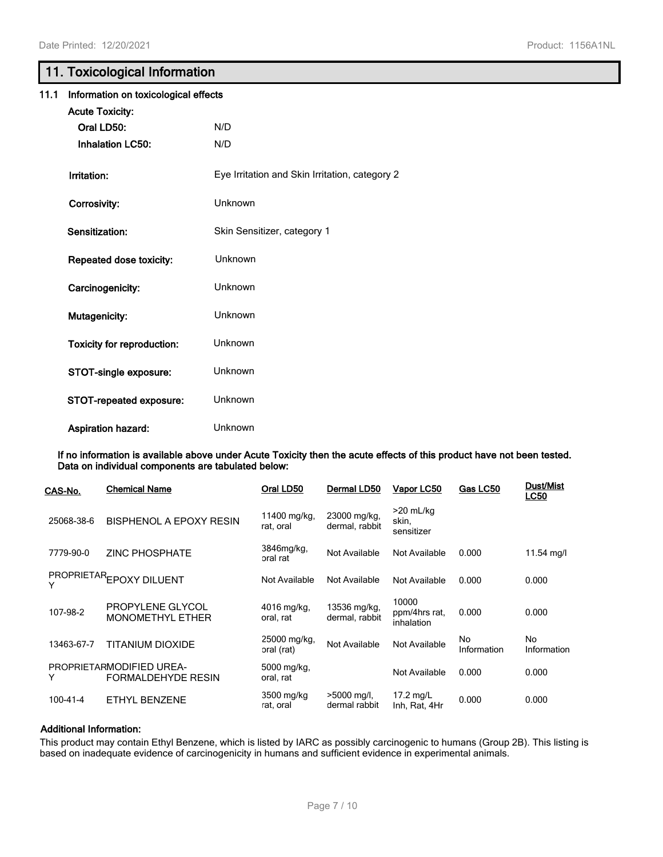## **11. Toxicological Information**

| 11.1 | Information on toxicological effects |                                                |  |  |
|------|--------------------------------------|------------------------------------------------|--|--|
|      | <b>Acute Toxicity:</b>               |                                                |  |  |
|      | Oral LD50:                           | N/D                                            |  |  |
|      | <b>Inhalation LC50:</b>              | N/D                                            |  |  |
|      | Irritation:                          | Eye Irritation and Skin Irritation, category 2 |  |  |
|      | Corrosivity:                         | Unknown                                        |  |  |
|      | Sensitization:                       | Skin Sensitizer, category 1                    |  |  |
|      | Repeated dose toxicity:              | Unknown                                        |  |  |
|      | Carcinogenicity:                     | Unknown                                        |  |  |
|      | Mutagenicity:                        | Unknown                                        |  |  |
|      | <b>Toxicity for reproduction:</b>    | Unknown                                        |  |  |
|      | STOT-single exposure:                | Unknown                                        |  |  |
|      | STOT-repeated exposure:              | Unknown                                        |  |  |
|      | <b>Aspiration hazard:</b>            | Unknown                                        |  |  |

**If no information is available above under Acute Toxicity then the acute effects of this product have not been tested. Data on individual components are tabulated below:**

| CAS-No.    | <b>Chemical Name</b>                                  | Oral LD50                  | Dermal LD50                    | Vapor LC50                           | Gas LC50          | <b>Dust/Mist</b><br><b>LC50</b> |
|------------|-------------------------------------------------------|----------------------------|--------------------------------|--------------------------------------|-------------------|---------------------------------|
| 25068-38-6 | BISPHENOL A EPOXY RESIN                               | 11400 mg/kg,<br>rat, oral  | 23000 mg/kg,<br>dermal, rabbit | $>20$ mL/kg<br>skin,<br>sensitizer   |                   |                                 |
| 7779-90-0  | <b>ZINC PHOSPHATE</b>                                 | 3846mg/kg,<br>oral rat     | Not Available                  | Not Available                        | 0.000             | 11.54 mg/l                      |
| Y          | PROPRIETAREPOXY DILUENT                               | Not Available              | Not Available                  | Not Available                        | 0.000             | 0.000                           |
| 107-98-2   | PROPYLENE GLYCOL<br><b>MONOMETHYL ETHER</b>           | 4016 mg/kg,<br>oral, rat   | 13536 mg/kg,<br>dermal, rabbit | 10000<br>ppm/4hrs rat,<br>inhalation | 0.000             | 0.000                           |
| 13463-67-7 | TITANIUM DIOXIDE                                      | 25000 mg/kg,<br>oral (rat) | Not Available                  | Not Available                        | No<br>Information | No<br>Information               |
| Y          | PROPRIETARMODIFIED UREA-<br><b>FORMALDEHYDE RESIN</b> | 5000 mg/kg,<br>oral, rat   |                                | Not Available                        | 0.000             | 0.000                           |
| 100-41-4   | ETHYL BENZENE                                         | 3500 mg/kg<br>rat, oral    | >5000 mg/l,<br>dermal rabbit   | 17.2 mg/L<br>Inh, Rat, 4Hr           | 0.000             | 0.000                           |

#### **Additional Information:**

This product may contain Ethyl Benzene, which is listed by IARC as possibly carcinogenic to humans (Group 2B). This listing is based on inadequate evidence of carcinogenicity in humans and sufficient evidence in experimental animals.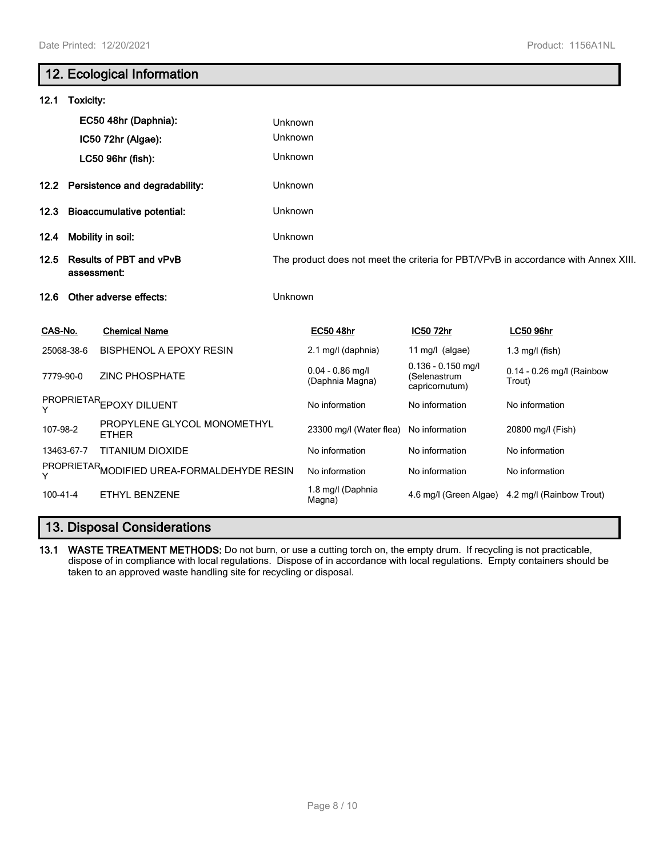г

| 12. Ecological Information                 |                                     |                                               |                |                                       |                                                        |                                                                                    |
|--------------------------------------------|-------------------------------------|-----------------------------------------------|----------------|---------------------------------------|--------------------------------------------------------|------------------------------------------------------------------------------------|
| 12.1                                       | Toxicity:                           |                                               |                |                                       |                                                        |                                                                                    |
|                                            |                                     | EC50 48hr (Daphnia):                          | Unknown        |                                       |                                                        |                                                                                    |
|                                            |                                     | IC50 72hr (Algae):                            | Unknown        |                                       |                                                        |                                                                                    |
|                                            |                                     | LC50 96hr (fish):                             | Unknown        |                                       |                                                        |                                                                                    |
|                                            | 12.2 Persistence and degradability: |                                               | Unknown        |                                       |                                                        |                                                                                    |
| 12.3                                       | <b>Bioaccumulative potential:</b>   |                                               | Unknown        |                                       |                                                        |                                                                                    |
| 12.4                                       | Mobility in soil:                   |                                               | Unknown        |                                       |                                                        |                                                                                    |
| 12.5                                       |                                     | <b>Results of PBT and vPvB</b><br>assessment: |                |                                       |                                                        | The product does not meet the criteria for PBT/VPvB in accordance with Annex XIII. |
| 12.6                                       |                                     | Other adverse effects:                        | Unknown        |                                       |                                                        |                                                                                    |
| CAS-No.                                    |                                     | <b>Chemical Name</b>                          |                | <b>EC50 48hr</b>                      | IC50 72hr                                              | <b>LC50 96hr</b>                                                                   |
|                                            | 25068-38-6                          | <b>BISPHENOL A EPOXY RESIN</b>                |                | 2.1 mg/l (daphnia)                    | 11 mg/l $(algae)$                                      | $1.3$ mg/l (fish)                                                                  |
| 7779-90-0                                  |                                     | <b>ZINC PHOSPHATE</b>                         |                | $0.04 - 0.86$ mg/l<br>(Daphnia Magna) | $0.136 - 0.150$ mg/l<br>(Selenastrum<br>capricornutum) | 0.14 - 0.26 mg/l (Rainbow<br>Trout)                                                |
| PROPRIETAREPOXY DILUENT<br>Y               |                                     |                                               | No information | No information                        | No information                                         |                                                                                    |
| 107-98-2                                   |                                     | PROPYLENE GLYCOL MONOMETHYL<br><b>ETHER</b>   |                | 23300 mg/l (Water flea)               | No information                                         | 20800 mg/l (Fish)                                                                  |
| <b>TITANIUM DIOXIDE</b><br>13463-67-7      |                                     |                                               | No information | No information                        | No information                                         |                                                                                    |
| PROPRIETARMODIFIED UREA-FORMALDEHYDE RESIN |                                     |                                               | No information | No information                        | No information                                         |                                                                                    |
| $100 - 41 - 4$                             |                                     | <b>ETHYL BENZENE</b>                          |                | 1.8 mg/l (Daphnia<br>Magna)           |                                                        | 4.6 mg/l (Green Algae) 4.2 mg/l (Rainbow Trout)                                    |
|                                            |                                     |                                               |                |                                       |                                                        |                                                                                    |

# **13. Disposal Considerations**

**13.1 WASTE TREATMENT METHODS:** Do not burn, or use a cutting torch on, the empty drum. If recycling is not practicable, dispose of in compliance with local regulations. Dispose of in accordance with local regulations. Empty containers should be taken to an approved waste handling site for recycling or disposal.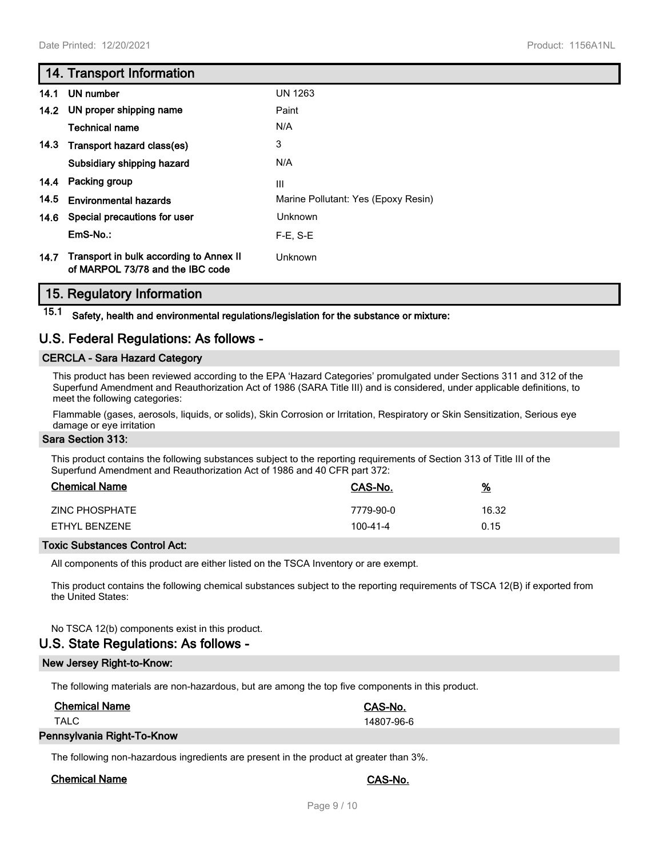### **14. Transport Information**

| 14.1 | UN number                                                                   | <b>UN 1263</b>                      |
|------|-----------------------------------------------------------------------------|-------------------------------------|
|      | 14.2 UN proper shipping name                                                | Paint                               |
|      | Technical name                                                              | N/A                                 |
|      | 14.3 Transport hazard class(es)                                             | 3                                   |
|      | Subsidiary shipping hazard                                                  | N/A                                 |
| 14.4 | Packing group                                                               | Ш                                   |
| 14.5 | <b>Environmental hazards</b>                                                | Marine Pollutant: Yes (Epoxy Resin) |
| 14.6 | Special precautions for user                                                | Unknown                             |
|      | $EmS-No.$ :                                                                 | $F-E. S-E$                          |
| 14.7 | Transport in bulk according to Annex II<br>of MARPOL 73/78 and the IBC code | Unknown                             |

### **15. Regulatory Information**

**15.1 Safety, health and environmental regulations/legislation for the substance or mixture:**

### **U.S. Federal Regulations: As follows -**

#### **CERCLA - Sara Hazard Category**

This product has been reviewed according to the EPA 'Hazard Categories' promulgated under Sections 311 and 312 of the Superfund Amendment and Reauthorization Act of 1986 (SARA Title III) and is considered, under applicable definitions, to meet the following categories:

Flammable (gases, aerosols, liquids, or solids), Skin Corrosion or Irritation, Respiratory or Skin Sensitization, Serious eye damage or eye irritation

#### **Sara Section 313:**

This product contains the following substances subject to the reporting requirements of Section 313 of Title III of the Superfund Amendment and Reauthorization Act of 1986 and 40 CFR part 372:

| <b>Chemical Name</b> | CAS-No.   | <u>%</u> |
|----------------------|-----------|----------|
| ZINC PHOSPHATE       | 7779-90-0 | 16.32    |
| FTHYL BENZENE        | 100-41-4  | 0.15     |

#### **Toxic Substances Control Act:**

All components of this product are either listed on the TSCA Inventory or are exempt.

This product contains the following chemical substances subject to the reporting requirements of TSCA 12(B) if exported from the United States:

#### No TSCA 12(b) components exist in this product.

### **U.S. State Regulations: As follows -**

#### **New Jersey Right-to-Know:**

The following materials are non-hazardous, but are among the top five components in this product.

| <b>Chemical Name</b>       | CAS-No.    |  |
|----------------------------|------------|--|
| TALC                       | 14807-96-6 |  |
| Pennsylvania Right-To-Know |            |  |

The following non-hazardous ingredients are present in the product at greater than 3%.

#### **Chemical Name CAS-No.**